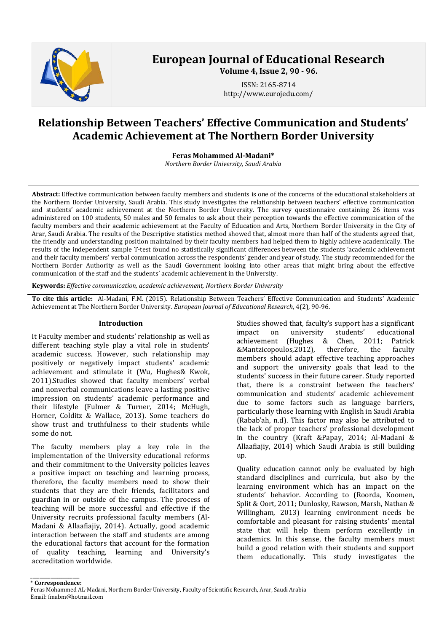

# **European Journal of Educational Research**

**Volume 4, Issue 2, 90 - 96.**

ISSN: 2165-8714 http://www.eurojedu.com/

## **Relationship Between Teachers' Effective Communication and Students' Academic Achievement at The Northern Border University**

**Feras Mohammed Al-Madani\***

*Northern Border University, Saudi Arabia*

**Abstract:** Effective communication between faculty members and students is one of the concerns of the educational stakeholders at the Northern Border University, Saudi Arabia. This study investigates the relationship between teachers' effective communication and students' academic achievement at the Northern Border University. The survey questionnaire containing 26 items was administered on 100 students, 50 males and 50 females to ask about their perception towards the effective communication of the faculty members and their academic achievement at the Faculty of Education and Arts, Northern Border University in the City of Arar, Saudi Arabia. The results of the Descriptive statistics method showed that, almost more than half of the students agreed that, the friendly and understanding position maintained by their faculty members had helped them to highly achieve academically. The results of the independent sample T-test found no statistically significant differences between the students 'academic achievement and their faculty members' verbal communication across the respondents' gender and year of study. The study recommended for the Northern Border Authority as well as the Saudi Government looking into other areas that might bring about the effective communication of the staff and the students' academic achievement in the University.

**Keywords:** *Effective communication, academic achievement, Northern Border University*

**To cite this article:** Al-Madani, F.M. (2015). Relationship Between Teachers' Effective Communication and Students' Academic Achievement at The Northern Border University. *European Journal of Educational Research*, 4(2), 90-96.

## **Introduction**

It Faculty member and students' relationship as well as different teaching style play a vital role in students' academic success. However, such relationship may positively or negatively impact students' academic achievement and stimulate it (Wu, Hughes& Kwok, 2011).Studies showed that faculty members' verbal and nonverbal communications leave a lasting positive impression on students' academic performance and their lifestyle (Fulmer & Turner, 2014; McHugh, Horner, Colditz & Wallace, 2013). Some teachers do show trust and truthfulness to their students while some do not.

The faculty members play a key role in the implementation of the University educational reforms and their commitment to the University policies leaves a positive impact on teaching and learning process, therefore, the faculty members need to show their students that they are their friends, facilitators and guardian in or outside of the campus. The process of teaching will be more successful and effective if the University recruits professional faculty members (Al-Madani & Allaafiajiy, 2014). Actually, good academic interaction between the staff and students are among the educational factors that account for the formation<br>of quality teaching, learning and University's quality teaching, learning and University's accreditation worldwide.

Studies showed that, faculty's support has a significant<br>impact on university students' educational impact on university students' educational<br>achievement (Hughes & Chen, 2011; Patrick (Hughes & Chen, 2011; Patrick<br>os, 2012), therefore, the faculty &Mantzicopoulos, 2012), members should adapt effective teaching approaches and support the university goals that lead to the students' success in their future career. Study reported that, there is a constraint between the teachers' communication and students' academic achievement due to some factors such as language barriers, particularly those learning with English in Saudi Arabia (Rabab'ah, n.d). This factor may also be attributed to the lack of proper teachers' professional development in the country (Kraft &Papay, 2014; Al-Madani & Allaafiajiy, 2014) which Saudi Arabia is still building up.

Quality education cannot only be evaluated by high standard disciplines and curricula, but also by the learning environment which has an impact on the students' behavior. According to (Roorda, Koomen, Split & Oort, 2011; Dunlosky, Rawson, Marsh, Nathan & Willingham, 2013) learning environment needs be comfortable and pleasant for raising students' mental state that will help them perform excellently in academics. In this sense, the faculty members must build a good relation with their students and support them educationally. This study investigates the

\_\_\_\_\_\_\_\_\_\_\_\_\_\_\_\_\_\_\_\_\_\_ \* **Correspondence:** Feras Mohammed AL-Madani, Northern Border University, Faculty of Scientific Research, Arar, Saudi Arabia Email: fmabm@hotmail.com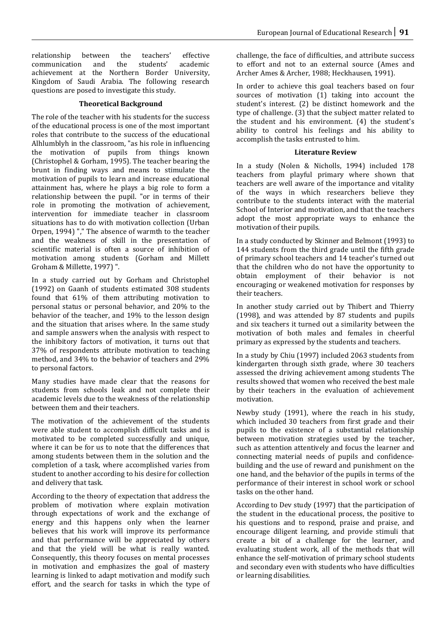relationship between the teachers' effective communication and the students' academic achievement at the Northern Border University, Kingdom of Saudi Arabia. The following research questions are posed to investigate this study.

## **Theoretical Background**

The role of the teacher with his students for the success of the educational process is one of the most important roles that contribute to the success of the educational Alhlumblyh in the classroom, "as his role in influencing the motivation of pupils from things known (Christophel & Gorham, 1995). The teacher bearing the brunt in finding ways and means to stimulate the motivation of pupils to learn and increase educational attainment has, where he plays a big role to form a relationship between the pupil. "or in terms of their role in promoting the motivation of achievement, intervention for immediate teacher in classroom situations has to do with motivation collection (Urban Orpen, 1994) "," The absence of warmth to the teacher and the weakness of skill in the presentation of scientific material is often a source of inhibition of motivation among students (Gorham and Millett Groham & Millette, 1997) ".

In a study carried out by Gorham and Christophel (1992) on Gaanh of students estimated 308 students found that 61% of them attributing motivation to personal status or personal behavior, and 20% to the behavior of the teacher, and 19% to the lesson design and the situation that arises where. In the same study and sample answers when the analysis with respect to the inhibitory factors of motivation, it turns out that 37% of respondents attribute motivation to teaching method, and 34% to the behavior of teachers and 29% to personal factors.

Many studies have made clear that the reasons for students from schools leak and not complete their academic levels due to the weakness of the relationship between them and their teachers.

The motivation of the achievement of the students were able student to accomplish difficult tasks and is motivated to be completed successfully and unique, where it can be for us to note that the differences that among students between them in the solution and the completion of a task, where accomplished varies from student to another according to his desire for collection and delivery that task.

According to the theory of expectation that address the problem of motivation where explain motivation through expectations of work and the exchange of energy and this happens only when the learner believes that his work will improve its performance and that performance will be appreciated by others and that the yield will be what is really wanted. Consequently, this theory focuses on mental processes in motivation and emphasizes the goal of mastery learning is linked to adapt motivation and modify such effort, and the search for tasks in which the type of challenge, the face of difficulties, and attribute success to effort and not to an external source (Ames and Archer Ames & Archer, 1988; Heckhausen, 1991).

In order to achieve this goal teachers based on four sources of motivation (1) taking into account the student's interest. (2) be distinct homework and the type of challenge. (3) that the subject matter related to the student and his environment. (4) the student's ability to control his feelings and his ability to accomplish the tasks entrusted to him.

#### **Literature Review**

In a study (Nolen & Nicholls, 1994) included 178 teachers from playful primary where shown that teachers are well aware of the importance and vitality of the ways in which researchers believe they contribute to the students interact with the material School of Interior and motivation, and that the teachers adopt the most appropriate ways to enhance the motivation of their pupils.

In a study conducted by Skinner and Belmont (1993) to 144 students from the third grade until the fifth grade of primary school teachers and 14 teacher's turned out that the children who do not have the opportunity to obtain employment of their behavior is not encouraging or weakened motivation for responses by their teachers.

In another study carried out by Thibert and Thierry (1998), and was attended by 87 students and pupils and six teachers it turned out a similarity between the motivation of both males and females in cheerful primary as expressed by the students and teachers.

In a study by Chiu (1997) included 2063 students from kindergarten through sixth grade, where 30 teachers assessed the driving achievement among students The results showed that women who received the best male by their teachers in the evaluation of achievement motivation.

Newby study (1991), where the reach in his study, which included 30 teachers from first grade and their pupils to the existence of a substantial relationship between motivation strategies used by the teacher, such as attention attentively and focus the learner and connecting material needs of pupils and confidencebuilding and the use of reward and punishment on the one hand, and the behavior of the pupils in terms of the performance of their interest in school work or school tasks on the other hand.

According to Dev study (1997) that the participation of the student in the educational process, the positive to his questions and to respond, praise and praise, and encourage diligent learning, and provide stimuli that create a bit of a challenge for the learner, and evaluating student work, all of the methods that will enhance the self-motivation of primary school students and secondary even with students who have difficulties or learning disabilities.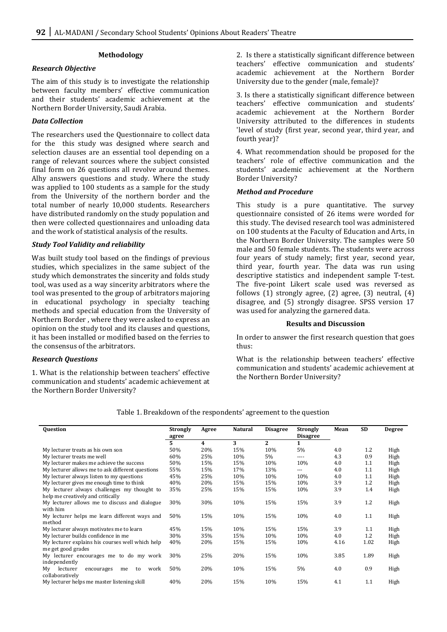#### **Methodology**

#### *Research Objective*

The aim of this study is to investigate the relationship between faculty members' effective communication and their students' academic achievement at the Northern Border University, Saudi Arabia.

## *Data Collection*

The researchers used the Questionnaire to collect data for the this study was designed where search and selection clauses are an essential tool depending on a range of relevant sources where the subject consisted final form on 26 questions all revolve around themes. Alhy answers questions and study. Where the study was applied to 100 students as a sample for the study from the University of the northern border and the total number of nearly 10,000 students. Researchers have distributed randomly on the study population and then were collected questionnaires and unloading data and the work of statistical analysis of the results.

## *Study Tool Validity and reliability*

Was built study tool based on the findings of previous studies, which specializes in the same subject of the study which demonstrates the sincerity and folds study tool, was used as a way sincerity arbitrators where the tool was presented to the group of arbitrators majoring in educational psychology in specialty teaching methods and special education from the University of Northern Border , where they were asked to express an opinion on the study tool and its clauses and questions, it has been installed or modified based on the ferries to the consensus of the arbitrators.

## *Research Questions*

1. What is the relationship between teachers' effective communication and students' academic achievement at the Northern Border University?

2. Is there a statistically significant difference between teachers' effective communication and students' academic achievement at the Northern Border University due to the gender (male, female)?

3. Is there a statistically significant difference between teachers' effective communication and students' academic achievement at the Northern Border University attributed to the differences in students 'level of study (first year, second year, third year, and fourth year)?

4. What recommendation should be proposed for the teachers' role of effective communication and the students' academic achievement at the Northern Border University?

#### *Method and Procedure*

This study is a pure quantitative. The survey questionnaire consisted of 26 items were worded for this study. The devised research tool was administered on 100 students at the Faculty of Education and Arts, in the Northern Border University. The samples were 50 male and 50 female students. The students were across four years of study namely; first year, second year, third year, fourth year. The data was run using descriptive statistics and independent sample T-test. The five-point Likert scale used was reversed as follows  $(1)$  strongly agree,  $(2)$  agree,  $(3)$  neutral,  $(4)$ disagree, and (5) strongly disagree. SPSS version 17 was used for analyzing the garnered data.

#### **Results and Discussion**

In order to answer the first research question that goes thus:

What is the relationship between teachers' effective communication and students' academic achievement at the Northern Border University?

| <b>Question</b>                                  | <b>Strongly</b> | Agree | <b>Natural</b> | <b>Disagree</b> | <b>Strongly</b><br><b>Disagree</b> | Mean | <b>SD</b> | <b>Degree</b> |
|--------------------------------------------------|-----------------|-------|----------------|-----------------|------------------------------------|------|-----------|---------------|
|                                                  | agree<br>5      | 4     | 3              | 2               |                                    |      |           |               |
| My lecturer treats as his own son                | 50%             | 20%   | 15%            | 10%             | 5%                                 | 4.0  | 1.2       | High          |
| My lecturer treats me well                       | 60%             | 25%   | 10%            | 5%              | ----                               | 4.3  | 0.9       | High          |
| My lecturer makes me achieve the success         | 50%             | 15%   | 15%            | 10%             | 10%                                | 4.0  | 1.1       | High          |
| My lecturer allows me to ask different questions | 55%             | 15%   | 17%            | 13%             | $\cdots$                           | 4.0  | 1.1       | High          |
| My lecturer always listen to my questions        | 45%             | 25%   | 10%            | 10%             | 10%                                | 4.0  | 1.1       | High          |
| My lecturer gives me enough time to think        | 40%             | 20%   | 15%            | 15%             | 10%                                | 3.9  | 1.2       | High          |
| My lecturer always challenges my thought to      | 35%             | 25%   | 15%            | 15%             | 10%                                | 3.9  | 1.4       | High          |
| help me creatively and critically                |                 |       |                |                 |                                    |      |           |               |
| My lecturer allows me to discuss and dialogue    | 30%             | 30%   | 10%            | 15%             | 15%                                | 3.9  | 1.2       | High          |
| with him                                         |                 |       |                |                 |                                    |      |           |               |
| My lecturer helps me learn different ways and    | 50%             | 15%   | 10%            | 15%             | 10%                                | 4.0  | 1.1       | High          |
| method                                           |                 |       |                |                 |                                    |      |           |               |
| My lecturer always motivates me to learn         | 45%             | 15%   | 10%            | 15%             | 15%                                | 3.9  | $1.1\,$   | High          |
| My lecturer builds confidence in me              | 30%             | 35%   | 15%            | 10%             | 10%                                | 4.0  | 1.2       | High          |
| My lecturer explains his courses well which help | 40%             | 20%   | 15%            | 15%             | 10%                                | 4.16 | 1.02      | High          |
| me get good grades                               |                 |       |                |                 |                                    |      |           |               |
| My lecturer encourages me to do my work          | 30%             | 25%   | 20%            | 15%             | 10%                                | 3.85 | 1.89      | High          |
| independently                                    |                 |       |                |                 |                                    |      |           |               |
| lecturer<br>Mv<br>work<br>encourages<br>to<br>me | 50%             | 20%   | 10%            | 15%             | 5%                                 | 4.0  | 0.9       | High          |
| collaboratively                                  |                 |       |                |                 |                                    |      |           |               |
| My lecturer helps me master listening skill      | 40%             | 20%   | 15%            | 10%             | 15%                                | 4.1  | 1.1       | High          |
|                                                  |                 |       |                |                 |                                    |      |           |               |

#### Table 1. Breakdown of the respondents' agreement to the question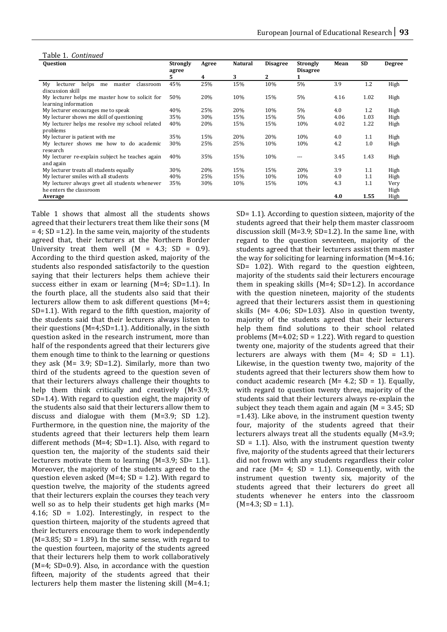|  | Table 1. Continued |
|--|--------------------|
|  |                    |

| <b>Question</b>                                      | <b>Strongly</b><br>agree | Agree | <b>Natural</b> | <b>Disagree</b> | <b>Strongly</b><br><b>Disagree</b> | Mean | <b>SD</b> | <b>Degree</b> |
|------------------------------------------------------|--------------------------|-------|----------------|-----------------|------------------------------------|------|-----------|---------------|
|                                                      | 5                        | 4     | 3              | 2               |                                    |      |           |               |
| helps<br>Mv<br>lecturer<br>classroom<br>me<br>master | 45%                      | 25%   | 15%            | 10%             | 5%                                 | 3.9  | 1.2       | High          |
| discussion skill                                     |                          |       |                |                 |                                    |      |           |               |
| My lecturer helps me master how to solicit for       | 50%                      | 20%   | 10%            | 15%             | 5%                                 | 4.16 | 1.02      | High          |
| learning information                                 |                          |       |                |                 |                                    |      |           |               |
| My lecturer encourages me to speak                   | 40%                      | 25%   | 20%            | 10%             | 5%                                 | 4.0  | 1.2       | High          |
| My lecturer shows me skill of questioning            | 35%                      | 30%   | 15%            | 15%             | 5%                                 | 4.06 | 1.03      | High          |
| My lecturer helps me resolve my school related       | 40%                      | 20%   | 15%            | 15%             | 10%                                | 4.02 | 1.22      | High          |
| problems                                             |                          |       |                |                 |                                    |      |           |               |
| My lecturer is patient with me                       | 35%                      | 15%   | 20%            | 20%             | 10%                                | 4.0  | 1.1       | High          |
| My lecturer shows me how to do academic              | 30%                      | 25%   | 25%            | 10%             | 10%                                | 4.2  | 1.0       | High          |
| research                                             |                          |       |                |                 |                                    |      |           |               |
| My lecturer re-explain subject he teaches again      | 40%                      | 35%   | 15%            | 10%             |                                    | 3.45 | 1.43      | High          |
| and again                                            |                          |       |                |                 |                                    |      |           |               |
| My lecturer treats all students equally              | 30%                      | 20%   | 15%            | 15%             | 20%                                | 3.9  | 1.1       | High          |
| My lecturer smiles with all students                 | 40%                      | 25%   | 15%            | 10%             | 10%                                | 4.0  | 1.1       | High          |
| My lecturer always greet all students whenever       | 35%                      | 30%   | 10%            | 15%             | 10%                                | 4.3  | 1.1       | Very          |
| he enters the classroom                              |                          |       |                |                 |                                    |      |           | High          |
| Average                                              |                          |       |                |                 |                                    | 4.0  | 1.55      | High          |

Table 1 shows that almost all the students shows agreed that their lecturers treat them like their sons (M  $= 4$ ; SD = 1.2). In the same vein, majority of the students agreed that, their lecturers at the Northern Border University treat them well  $(M = 4.3; SD = 0.9)$ . According to the third question asked, majority of the students also responded satisfactorily to the question saying that their lecturers helps them achieve their success either in exam or learning (M=4; SD=1.1). In the fourth place, all the students also said that their lecturers allow them to ask different questions (M=4; SD=1.1). With regard to the fifth question, majority of the students said that their lecturers always listen to their questions (M=4;SD=1.1). Additionally, in the sixth question asked in the research instrument, more than half of the respondents agreed that their lecturers give them enough time to think to the learning or questions they ask (M= 3.9; SD=1.2). Similarly, more than two third of the students agreed to the question seven of that their lecturers always challenge their thoughts to help them think critically and creatively (M=3.9; SD=1.4). With regard to question eight, the majority of the students also said that their lecturers allow them to discuss and dialogue with them (M=3.9; SD 1.2). Furthermore, in the question nine, the majority of the students agreed that their lecturers help them learn different methods (M=4; SD=1.1). Also, with regard to question ten, the majority of the students said their lecturers motivate them to learning (M=3.9; SD= 1.1). Moreover, the majority of the students agreed to the question eleven asked  $(M=4; SD = 1.2)$ . With regard to question twelve, the majority of the students agreed that their lecturers explain the courses they teach very well so as to help their students get high marks (M= 4.16; SD = 1.02). Interestingly, in respect to the question thirteen, majority of the students agreed that their lecturers encourage them to work independently  $(M=3.85; SD = 1.89)$ . In the same sense, with regard to the question fourteen, majority of the students agreed that their lecturers help them to work collaboratively (M=4; SD=0.9). Also, in accordance with the question fifteen, majority of the students agreed that their lecturers help them master the listening skill (M=4.1;

SD= 1.1). According to question sixteen, majority of the students agreed that their help them master classroom discussion skill (M=3.9; SD=1.2). In the same line, with regard to the question seventeen, majority of the students agreed that their lecturers assist them master the way for soliciting for learning information (M=4.16; SD= 1.02). With regard to the question eighteen, majority of the students said their lecturers encourage them in speaking skills (M=4; SD=1.2). In accordance with the question nineteen, majority of the students agreed that their lecturers assist them in questioning skills (M= 4.06; SD=1.03). Also in question twenty, majority of the students agreed that their lecturers help them find solutions to their school related problems ( $M=4.02$ ; SD = 1.22). With regard to question twenty one, majority of the students agreed that their lecturers are always with them  $(M= 4; SD = 1.1)$ . Likewise, in the question twenty two, majority of the students agreed that their lecturers show them how to conduct academic research ( $M= 4.2$ ; SD = 1). Equally, with regard to question twenty three, majority of the students said that their lecturers always re-explain the subject they teach them again and again  $(M = 3.45; SD)$ =1.43). Like above, in the instrument question twenty four, majority of the students agreed that their lecturers always treat all the students equally (M=3.9;  $SD = 1.1$ ). Also, with the instrument question twenty five, majority of the students agreed that their lecturers did not frown with any students regardless their color and race ( $M = 4$ ; SD = 1.1). Consequently, with the instrument question twenty six, majority of the students agreed that their lecturers do greet all students whenever he enters into the classroom  $(M=4.3; SD = 1.1).$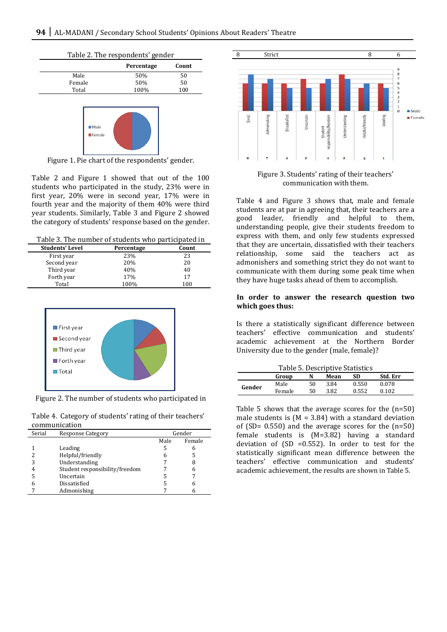



Figure 1. Pie chart of the respondents' gender.

Table 2 and Figure 1 showed that out of the 100 students who participated in the study, 23% were in first year, 20% were in second year, 17% were in fourth year and the majority of them 40% were third year students. Similarly, Table 3 and Figure 2 showed the category of students' response based on the gender.

Table 3. The number of students who participated in

| <b>Students' Level</b> | Percentage | Count |
|------------------------|------------|-------|
| First year             | 23%        | 23    |
| Second year            | 20%        | 20    |
| Third year             | 40%        | 40    |
| Forth year             | 17%        | 17    |
| Total                  | 100%       | 100   |



Figure 2. The number of students who participated in

Table 4. Category of students' rating of their teachers' communication

| Serial | <b>Response Category</b>       | Gender |        |  |
|--------|--------------------------------|--------|--------|--|
|        |                                | Male   | Female |  |
|        | Leading                        |        |        |  |
|        | Helpful/friendly               |        |        |  |
|        | Understanding                  |        |        |  |
|        | Student responsibility/freedom |        |        |  |
|        | Uncertain                      |        |        |  |
|        | Dissatisfied                   |        |        |  |
|        | Admonishing                    |        |        |  |



Figure 3. Students' rating of their teachers' communication with them.

Table 4 and Figure 3 shows that, male and female students are at par in agreeing that, their teachers are a good leader, friendly and helpful to them, understanding people, give their students freedom to express with them, and only few students expressed that they are uncertain, dissatisfied with their teachers relationship, some said the teachers act as admonishers and something strict they do not want to communicate with them during some peak time when they have huge tasks ahead of them to accomplish.

#### **In order to answer the research question two which goes thus:**

Is there a statistically significant difference between teachers' effective communication and students' academic achievement at the Northern Border University due to the gender (male, female)?

| Table 5. Descriptive Statistics |        |    |      |       |          |  |  |
|---------------------------------|--------|----|------|-------|----------|--|--|
|                                 | Group  | N  | Mean | SD    | Std. Err |  |  |
| Gender                          | Male   | 50 | 3.84 | 0.550 | 0.078    |  |  |
|                                 | Female | 50 | 3.82 | 0.552 | 0.102    |  |  |
|                                 |        |    |      |       |          |  |  |

Table 5 shows that the average scores for the (n=50) male students is  $(M = 3.84)$  with a standard deviation of (SD=  $0.550$ ) and the average scores for the  $(n=50)$ female students is (M=3.82) having a standard deviation of  $(SD = 0.552)$ . In order to test for the statistically significant mean difference between the teachers' effective communication and students' academic achievement, the results are shown in Table 5.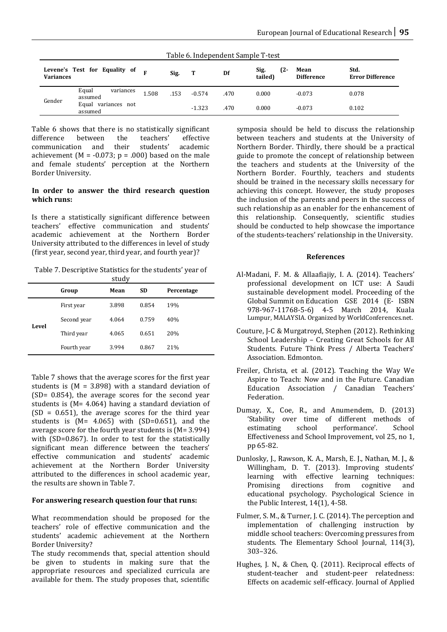| Table 6. Independent Sample T-test |                                |       |      |          |      |                        |                           |                                 |  |
|------------------------------------|--------------------------------|-------|------|----------|------|------------------------|---------------------------|---------------------------------|--|
| <b>Variances</b>                   | Levene's Test for Equality of  |       | Sig. | Т        | Df   | Sig.<br>(2-<br>tailed) | Mean<br><b>Difference</b> | Std.<br><b>Error Difference</b> |  |
|                                    | Equal<br>variances<br>assumed  | 1.508 | .153 | $-0.574$ | .470 | 0.000                  | $-0.073$                  | 0.078                           |  |
| Gender                             | Equal variances not<br>assumed |       |      | $-1.323$ | .470 | 0.000                  | $-0.073$                  | 0.102                           |  |

Table 6 shows that there is no statistically significant<br>difference between the teachers' effective communication and their students' academic communication and their students' academic achievement (M =  $-0.073$ ; p =  $.000$ ) based on the male and female students' perception at the Northern Border University.

## **In order to answer the third research question which runs:**

Is there a statistically significant difference between teachers' effective communication and students' academic achievement at the Northern Border University attributed to the differences in level of study (first year, second year, third year, and fourth year)?

Table 7. Descriptive Statistics for the students' year of study

|       | Group       | Mean  | <b>SD</b> | Percentage |  |
|-------|-------------|-------|-----------|------------|--|
| Level | First year  | 3.898 | 0.854     | 19%        |  |
|       | Second year | 4.064 | 0.759     | 40%        |  |
|       | Third year  | 4.065 | 0.651     | 20%        |  |
|       | Fourth year | 3.994 | 0.867     | 21%        |  |

Table 7 shows that the average scores for the first year students is  $(M = 3.898)$  with a standard deviation of (SD= 0.854), the average scores for the second year students is (M= 4.064) having a standard deviation of  $(SD = 0.651)$ , the average scores for the third year students is (M= 4.065) with (SD=0.651), and the average score for the fourth year students is (M= 3.994) with (SD=0.867). In order to test for the statistically significant mean difference between the teachers' effective communication and students' academic achievement at the Northern Border University attributed to the differences in school academic year, the results are shown in Table 7.

## **For answering research question four that runs:**

What recommendation should be proposed for the teachers' role of effective communication and the students' academic achievement at the Northern Border University?

The study recommends that, special attention should be given to students in making sure that the appropriate resources and specialized curricula are available for them. The study proposes that, scientific symposia should be held to discuss the relationship between teachers and students at the University of Northern Border. Thirdly, there should be a practical guide to promote the concept of relationship between the teachers and students at the University of the Northern Border. Fourthly, teachers and students should be trained in the necessary skills necessary for achieving this concept. However, the study proposes the inclusion of the parents and peers in the success of such relationship as an enabler for the enhancement of this relationship. Consequently, scientific studies should be conducted to help showcase the importance of the students-teachers' relationship in the University.

## **References**

- Al-Madani, F. M. & Allaafiajiy, I. A. (2014). Teachers' professional development on ICT use: A Saudi sustainable development model. Proceeding of the Global Summit on Education GSE 2014 (E- ISBN 978-967-11768-5-6) 4-5 March 2014, Kuala Lumpur, MALAYSIA. Organized by WorldConferences.net.
- Couture, J-C & Murgatroyd, Stephen (2012). Rethinking School Leadership – Creating Great Schools for All Students. Future Think Press / Alberta Teachers' Association. Edmonton.
- Freiler, Christa, et al. (2012). Teaching the Way We Aspire to Teach: Now and in the Future. Canadian Education Association / Canadian Teachers' Federation.
- Dumay, X., Coe, R., and Anumendem, D. (2013) 'Stability over time of different methods of performance'. Effectiveness and School Improvement, vol 25, no 1, pp 65-82.
- Dunlosky, J., Rawson, K. A., Marsh, E. J., Nathan, M. J., & Willingham, D. T. (2013). Improving students' learning with effective learning techniques:<br>Promising directions from cognitive and directions from educational psychology. Psychological Science in the Public Interest, 14(1), 4-58.
- Fulmer, S. M., & Turner, J. C. (2014). The perception and implementation of challenging instruction by middle school teachers: Overcoming pressures from students. The Elementary School Journal, 114(3), 303–326.
- Hughes, J. N., & Chen, Q. (2011). Reciprocal effects of student-teacher and student-peer relatedness: Effects on academic self-efficacy. Journal of Applied